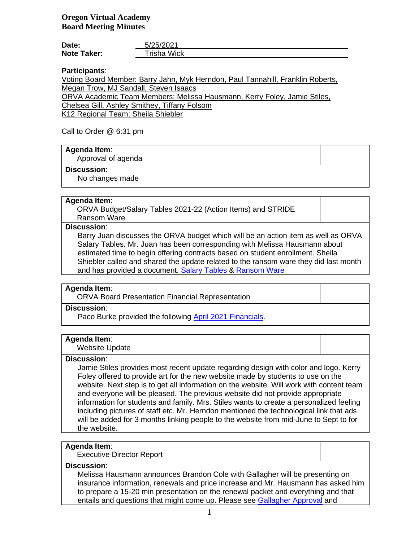| Date:              | 5/25/2021   |
|--------------------|-------------|
| <b>Note Taker:</b> | Trisha Wick |

**Participants**:

Voting Board Member: Barry Jahn, Myk Herndon, Paul Tannahill, Franklin Roberts, Megan Trow, MJ Sandall, Steven Isaacs

ORVA Academic Team Members: Melissa Hausmann, Kerry Foley, Jamie Stiles,

Chelsea Gill, Ashley Smithey, Tiffany Folsom

K12 Regional Team: Sheila Shiebler

### Call to Order @ 6:31 pm

### **Agenda Item**:

Approval of agenda

#### **Discussion**:

No changes made

### **Agenda Item**:

ORVA Budget/Salary Tables 2021-22 (Action Items) and STRIDE Ransom Ware

#### **Discussion**:

Barry Juan discusses the ORVA budget which will be an action item as well as ORVA Salary Tables. Mr. Juan has been corresponding with Melissa Hausmann about estimated time to begin offering contracts based on student enrollment. Sheila Shiebler called and shared the update related to the ransom ware they did last month and has provided a document. [Salary Tables](https://k12inc-my.sharepoint.com/:b:/g/personal/mecaldwell_oregonva_org/EVF5pxPtur5Bvwx5-LoU3m8BY42bzdDUiVl9XG4k191xDw) & [Ransom Ware](https://k12inc-my.sharepoint.com/:b:/g/personal/mecaldwell_oregonva_org/Ee_E_cAMb4pDmo6ZIRyyB34BDEOV0_wMhsAnP-LdKxb5PA)

### **Agenda Item**:

ORVA Board Presentation Financial Representation

# **Discussion**:

Paco Burke provided the following [April 2021 Financials.](https://k12inc-my.sharepoint.com/:p:/g/personal/mecaldwell_oregonva_org/EdgymaAAkihEi-VvT6SmqAABL0I5bbUNle1wNb1apAKdzw)

## **Agenda Item**:

Website Update

### **Discussion**:

Jamie Stiles provides most recent update regarding design with color and logo. Kerry Foley offered to provide art for the new website made by students to use on the website. Next step is to get all information on the website. Will work with content team and everyone will be pleased. The previous website did not provide appropriate information for students and family. Mrs. Stiles wants to create a personalized feeling including pictures of staff etc. Mr. Herndon mentioned the technological link that ads will be added for 3 months linking people to the website from mid-June to Sept to for the website.

### **Agenda Item**:

Executive Director Report

### **Discussion**:

Melissa Hausmann announces Brandon Cole with Gallagher will be presenting on insurance information, renewals and price increase and Mr. Hausmann has asked him to prepare a 15-20 min presentation on the renewal packet and everything and that entails and questions that might come up. Please see [Gallagher Approval](https://k12inc-my.sharepoint.com/:b:/g/personal/mecaldwell_oregonva_org/Ed_zCSWsWY1HuMBxoND2gdoBOZCAoHf8LdasFtX8LF2E1g) and